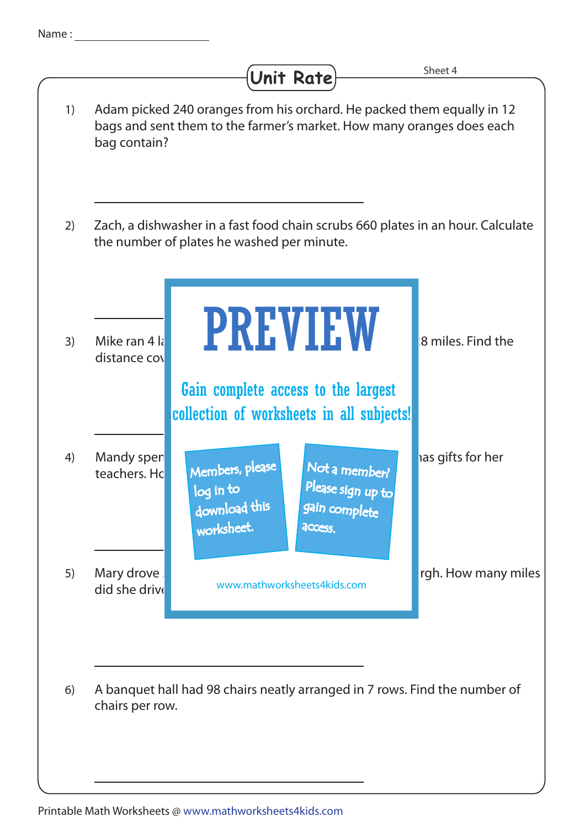